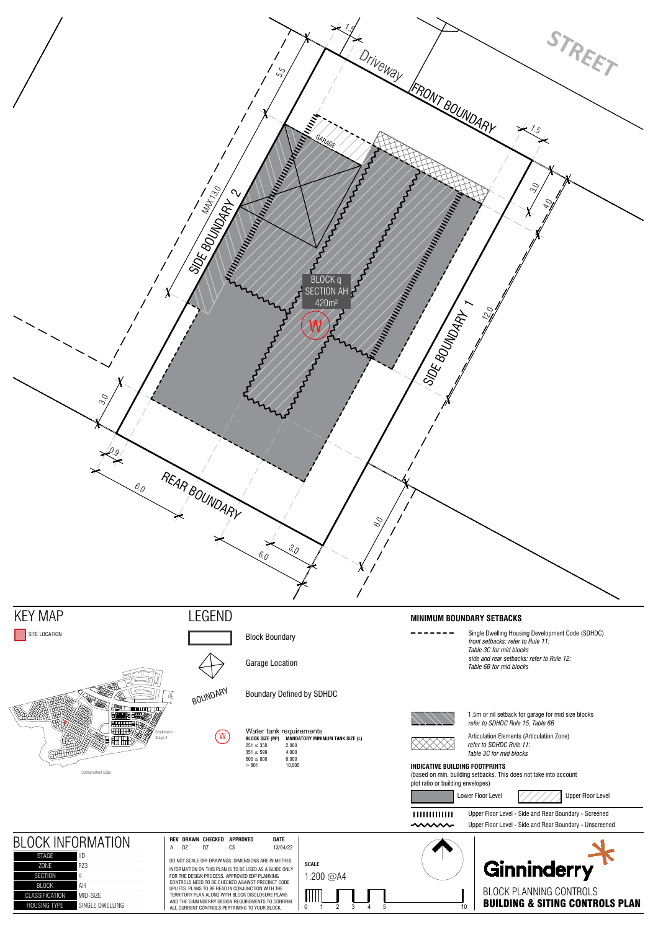